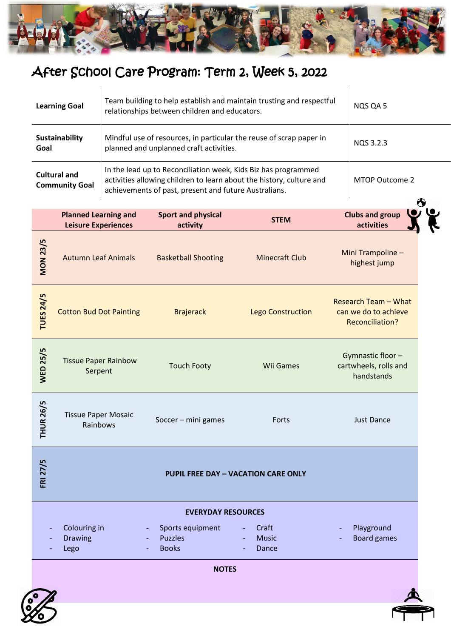

## After School Care Program: Term 2, Week 5, 2022

| <b>Learning Goal</b>                         | Team building to help establish and maintain trusting and respectful<br>relationships between children and educators.                                                                           | NQS QA 5       |
|----------------------------------------------|-------------------------------------------------------------------------------------------------------------------------------------------------------------------------------------------------|----------------|
| Sustainability<br>Goal                       | Mindful use of resources, in particular the reuse of scrap paper in<br>planned and unplanned craft activities.                                                                                  | NOS 3.2.3      |
| <b>Cultural and</b><br><b>Community Goal</b> | In the lead up to Reconciliation week, Kids Biz has programmed<br>activities allowing children to learn about the history, culture and<br>achievements of past, present and future Australians. | MTOP Outcome 2 |

|                  |                                                           |                                                    |                                | $\bullet$                                                                     |  |  |  |  |
|------------------|-----------------------------------------------------------|----------------------------------------------------|--------------------------------|-------------------------------------------------------------------------------|--|--|--|--|
|                  | <b>Planned Learning and</b><br><b>Leisure Experiences</b> | <b>Sport and physical</b><br>activity              | <b>STEM</b>                    | <b>Clubs and group</b><br>activities                                          |  |  |  |  |
| <b>MON 23/5</b>  | <b>Autumn Leaf Animals</b>                                | <b>Basketball Shooting</b>                         | <b>Minecraft Club</b>          | Mini Trampoline -<br>highest jump                                             |  |  |  |  |
| <b>TUES 24/5</b> | <b>Cotton Bud Dot Painting</b>                            | <b>Brajerack</b>                                   | <b>Lego Construction</b>       | <b>Research Team - What</b><br>can we do to achieve<br><b>Reconciliation?</b> |  |  |  |  |
| <b>WED 25/5</b>  | <b>Tissue Paper Rainbow</b><br>Serpent                    | <b>Touch Footy</b>                                 | <b>Wii Games</b>               | Gymnastic floor-<br>cartwheels, rolls and<br>handstands                       |  |  |  |  |
| <b>THUR 26/5</b> | <b>Tissue Paper Mosaic</b><br>Rainbows                    | Soccer - mini games                                | Forts                          | <b>Just Dance</b>                                                             |  |  |  |  |
| <b>FRI 27/5</b>  | <b>PUPIL FREE DAY - VACATION CARE ONLY</b>                |                                                    |                                |                                                                               |  |  |  |  |
|                  | <b>EVERYDAY RESOURCES</b>                                 |                                                    |                                |                                                                               |  |  |  |  |
|                  | Colouring in<br><b>Drawing</b><br>Lego                    | Sports equipment<br><b>Puzzles</b><br><b>Books</b> | Craft<br><b>Music</b><br>Dance | Playground<br><b>Board games</b>                                              |  |  |  |  |



**NOTES**